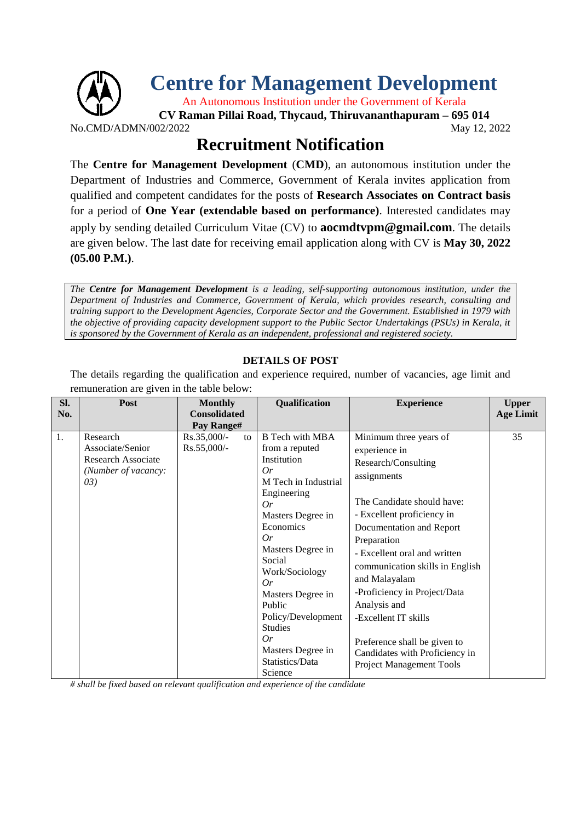

**Recruitment Notification**

The **Centre for Management Development** (**CMD**), an autonomous institution under the Department of Industries and Commerce, Government of Kerala invites application from qualified and competent candidates for the posts of **Research Associates on Contract basis** for a period of **One Year (extendable based on performance)**. Interested candidates may apply by sending detailed Curriculum Vitae (CV) to **aocmdtvpm@gmail.com**. The details are given below. The last date for receiving email application along with CV is **May 30, 2022 (05.00 P.M.)**.

*The Centre for Management Development is a leading, self-supporting autonomous institution, under the Department of Industries and Commerce, Government of Kerala, which provides research, consulting and training support to the Development Agencies, Corporate Sector and the Government. Established in 1979 with the objective of providing capacity development support to the Public Sector Undertakings (PSUs) in Kerala, it is sponsored by the Government of Kerala as an independent, professional and registered society.*

## **DETAILS OF POST**

The details regarding the qualification and experience required, number of vacancies, age limit and remuneration are given in the table below:

| SI. | Post                                                                              | <b>Monthly</b>                                           | <b>Qualification</b>                                                                                                                                                                                                                                           | <b>Experience</b>                                                                                                                                                                                                                                                                                                                                | <b>Upper</b>     |
|-----|-----------------------------------------------------------------------------------|----------------------------------------------------------|----------------------------------------------------------------------------------------------------------------------------------------------------------------------------------------------------------------------------------------------------------------|--------------------------------------------------------------------------------------------------------------------------------------------------------------------------------------------------------------------------------------------------------------------------------------------------------------------------------------------------|------------------|
| No. |                                                                                   | <b>Consolidated</b>                                      |                                                                                                                                                                                                                                                                |                                                                                                                                                                                                                                                                                                                                                  | <b>Age Limit</b> |
|     |                                                                                   |                                                          |                                                                                                                                                                                                                                                                |                                                                                                                                                                                                                                                                                                                                                  |                  |
| 1.  | Research<br>Associate/Senior<br>Research Associate<br>(Number of vacancy:<br>(03) | Pay Range#<br>Rs.35,000/-<br>$\mathbf{t}$<br>Rs.55,000/- | <b>B</b> Tech with MBA<br>from a reputed<br>Institution<br>Or<br>M Tech in Industrial<br>Engineering<br>Or<br>Masters Degree in<br>Economics<br>Or<br>Masters Degree in<br>Social<br>Work/Sociology<br>Or<br>Masters Degree in<br>Public<br>Policy/Development | Minimum three years of<br>experience in<br>Research/Consulting<br>assignments<br>The Candidate should have:<br>- Excellent proficiency in<br>Documentation and Report<br>Preparation<br>- Excellent oral and written<br>communication skills in English<br>and Malayalam<br>-Proficiency in Project/Data<br>Analysis and<br>-Excellent IT skills | 35               |
|     |                                                                                   |                                                          | <b>Studies</b><br>Or<br>Masters Degree in<br>Statistics/Data<br>Science                                                                                                                                                                                        | Preference shall be given to<br>Candidates with Proficiency in<br><b>Project Management Tools</b>                                                                                                                                                                                                                                                |                  |

*# shall be fixed based on relevant qualification and experience of the candidate*